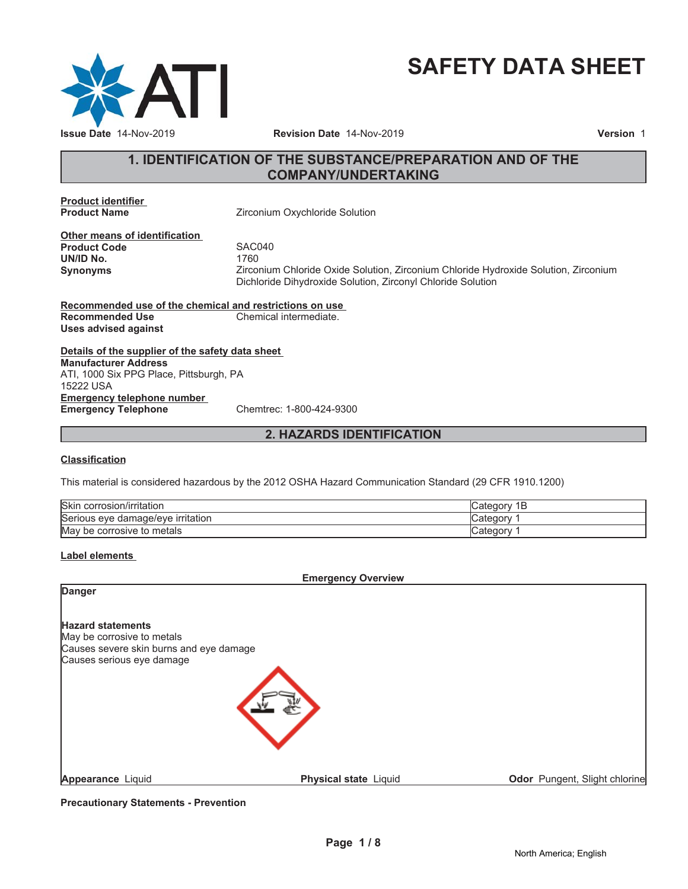

# **SAFETY DATA SHEET**

# **1. IDENTIFICATION OF THE SUBSTANCE/PREPARATION AND OF THE COMPANY/UNDERTAKING**

**Product identifier**

**Zirconium Oxychloride Solution** 

**Other means of identification Product Code 5AC040**<br> **UN/ID No.** 1760 **UN/ID No.** 

**Synonyms** Zirconium Chloride Oxide Solution, Zirconium Chloride Hydroxide Solution, Zirconium Dichloride Dihydroxide Solution, Zirconyl Chloride Solution

**Recommended use of the chemical and restrictions on use Recommended Use Chemical intermediate. Uses advised against**

**Details of the supplier of the safety data sheet Emergency telephone number Emergency Telephone** Chemtrec: 1-800-424-9300 **Manufacturer Address** ATI, 1000 Six PPG Place, Pittsburgh, PA 15222 USA

# **2. HAZARDS IDENTIFICATION**

#### **Classification**

This material is considered hazardous by the 2012 OSHA Hazard Communication Standard (29 CFR 1910.1200)

| <b>Skin</b><br>. .<br>∟corrosion/irritation | Cate<br>D |
|---------------------------------------------|-----------|
| Serious eve<br>irritation<br>e damage/eve e | ategor: ت |
| May<br>metals<br>' be corrosive to          | , Categor |

#### **Label elements**

**Emergency Overview**

| <b>Danger</b>                                                                                     |                       |                                      |
|---------------------------------------------------------------------------------------------------|-----------------------|--------------------------------------|
| <b>Hazard statements</b><br>May be corrosive to metals<br>Causes severe skin burns and eye damage |                       |                                      |
| Causes serious eye damage                                                                         |                       |                                      |
| Appearance Liquid                                                                                 | Physical state Liquid | <b>Odor</b> Pungent, Slight chlorine |

**Precautionary Statements - Prevention**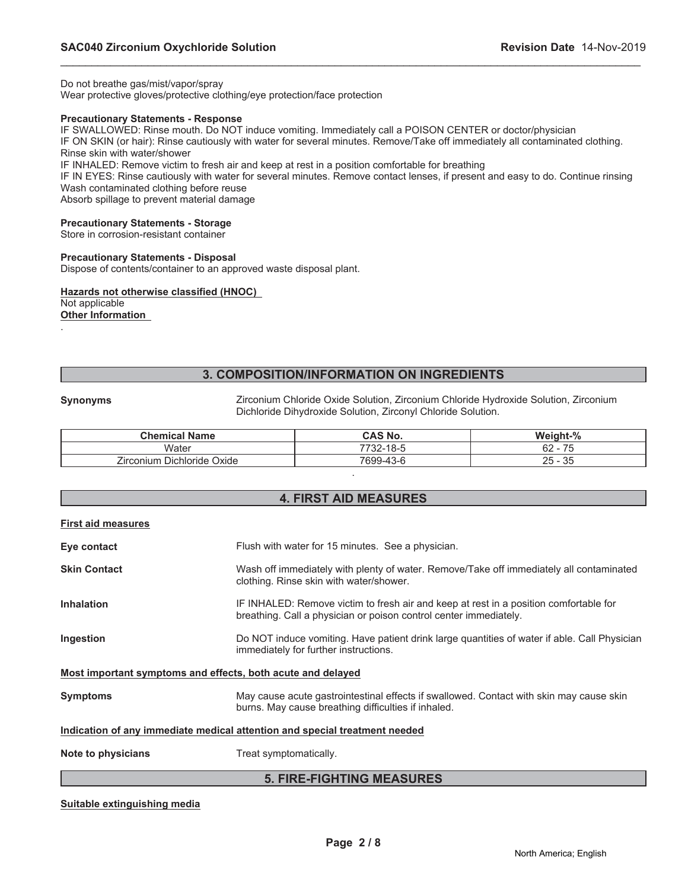Do not breathe gas/mist/vapor/spray

Wear protective gloves/protective clothing/eye protection/face protection

#### **Precautionary Statements - Response**

IF SWALLOWED: Rinse mouth. Do NOT induce vomiting. Immediately call a POISON CENTER or doctor/physician IF ON SKIN (or hair): Rinse cautiously with water for several minutes. Remove/Take off immediately all contaminated clothing.

Rinse skin with water/shower

IF INHALED: Remove victim to fresh air and keep at rest in a position comfortable for breathing

IF IN EYES: Rinse cautiously with water for several minutes. Remove contact lenses, if present and easy to do. Continue rinsing Wash contaminated clothing before reuse

\_\_\_\_\_\_\_\_\_\_\_\_\_\_\_\_\_\_\_\_\_\_\_\_\_\_\_\_\_\_\_\_\_\_\_\_\_\_\_\_\_\_\_\_\_\_\_\_\_\_\_\_\_\_\_\_\_\_\_\_\_\_\_\_\_\_\_\_\_\_\_\_\_\_\_\_\_\_\_\_\_\_\_\_\_\_\_\_\_\_\_\_\_

Absorb spillage to prevent material damage

#### **Precautionary Statements - Storage**

Store in corrosion-resistant container

#### **Precautionary Statements - Disposal**

Dispose of contents/container to an approved waste disposal plant.

#### **Hazards not otherwise classified (HNOC)** Not applicable

**Other Information** .

**3. COMPOSITION/INFORMATION ON INGREDIENTS**

**Synonyms** Zirconium Chloride Oxide Solution, Zirconium Chloride Hydroxide Solution, Zirconium Dichloride Dihydroxide Solution, Zirconyl Chloride Solution.

| <b>Chemical Name</b>       | <b>CAS No.</b> | Weight-%                                  |
|----------------------------|----------------|-------------------------------------------|
| Water                      | 7732-18-5      | ⇁<br>62<br>้ว<br>$\overline{\phantom{0}}$ |
| Zirconium Dichloride Oxide | 7699-43-6      | 35<br>25<br>$\overline{\phantom{0}}$      |
|                            |                |                                           |

| <b>4. FIRST AID MEASURES</b> |  |
|------------------------------|--|
|------------------------------|--|

|  | <b>First aid measures</b> |
|--|---------------------------|
|  |                           |

|                                                                            | E FIDE FIAUTINA MEAGUDEG                                                                                                                                   |  |
|----------------------------------------------------------------------------|------------------------------------------------------------------------------------------------------------------------------------------------------------|--|
| Note to physicians                                                         | Treat symptomatically.                                                                                                                                     |  |
| Indication of any immediate medical attention and special treatment needed |                                                                                                                                                            |  |
| <b>Symptoms</b>                                                            | May cause acute gastrointestinal effects if swallowed. Contact with skin may cause skin<br>burns. May cause breathing difficulties if inhaled.             |  |
| Most important symptoms and effects, both acute and delayed                |                                                                                                                                                            |  |
| Ingestion                                                                  | Do NOT induce vomiting. Have patient drink large quantities of water if able. Call Physician<br>immediately for further instructions.                      |  |
| <b>Inhalation</b>                                                          | IF INHALED: Remove victim to fresh air and keep at rest in a position comfortable for<br>breathing. Call a physician or poison control center immediately. |  |
| <b>Skin Contact</b>                                                        | Wash off immediately with plenty of water. Remove/Take off immediately all contaminated<br>clothing. Rinse skin with water/shower.                         |  |
| Eye contact                                                                | Flush with water for 15 minutes. See a physician.                                                                                                          |  |
|                                                                            |                                                                                                                                                            |  |

#### **5. FIRE-FIGHTING MEASURES**

#### **Suitable extinguishing media**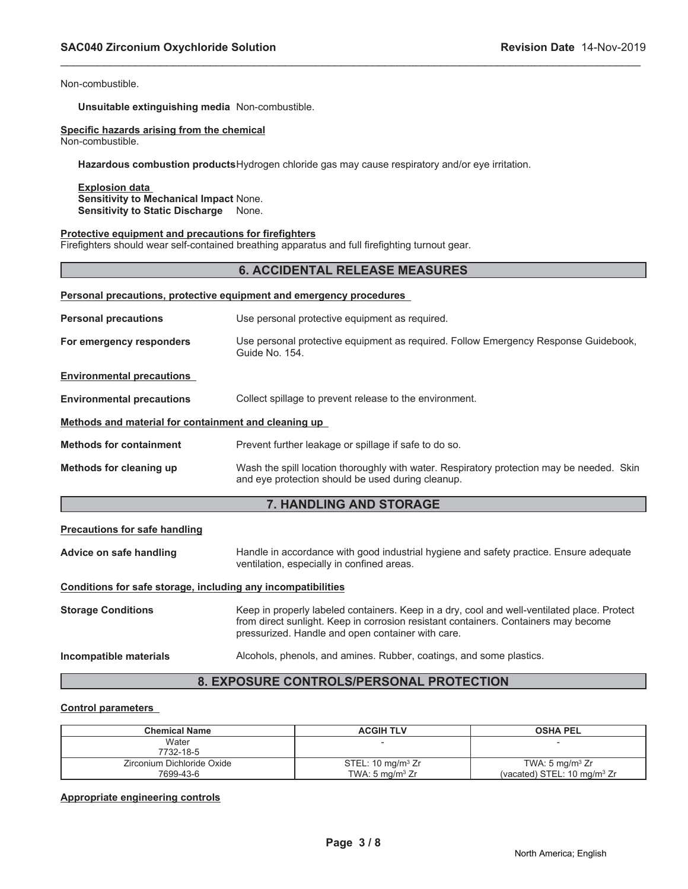Non-combustible.

**Unsuitable extinguishing media** Non-combustible.

# **Specific hazards arising from the chemical**

Non-combustible.

**Hazardous combustion products**Hydrogen chloride gas may cause respiratory and/or eye irritation.

**Explosion data Sensitivity to Mechanical Impact** None. **Sensitivity to Static Discharge** None.

#### **Protective equipment and precautions for firefighters**

Firefighters should wear self-contained breathing apparatus and full firefighting turnout gear.

#### **6. ACCIDENTAL RELEASE MEASURES**

\_\_\_\_\_\_\_\_\_\_\_\_\_\_\_\_\_\_\_\_\_\_\_\_\_\_\_\_\_\_\_\_\_\_\_\_\_\_\_\_\_\_\_\_\_\_\_\_\_\_\_\_\_\_\_\_\_\_\_\_\_\_\_\_\_\_\_\_\_\_\_\_\_\_\_\_\_\_\_\_\_\_\_\_\_\_\_\_\_\_\_\_\_

| Personal precautions, protective equipment and emergency procedures |                                                                                                                                                |  |  |  |
|---------------------------------------------------------------------|------------------------------------------------------------------------------------------------------------------------------------------------|--|--|--|
| <b>Personal precautions</b>                                         | Use personal protective equipment as required.                                                                                                 |  |  |  |
| For emergency responders                                            | Use personal protective equipment as required. Follow Emergency Response Guidebook,<br>Guide No. 154.                                          |  |  |  |
| <b>Environmental precautions</b>                                    |                                                                                                                                                |  |  |  |
| <b>Environmental precautions</b>                                    | Collect spillage to prevent release to the environment.                                                                                        |  |  |  |
| Methods and material for containment and cleaning up                |                                                                                                                                                |  |  |  |
| <b>Methods for containment</b>                                      | Prevent further leakage or spillage if safe to do so.                                                                                          |  |  |  |
| Methods for cleaning up                                             | Wash the spill location thoroughly with water. Respiratory protection may be needed. Skin<br>and eye protection should be used during cleanup. |  |  |  |

# **7. HANDLING AND STORAGE**

#### **Precautions for safe handling**

**Advice on safe handling** Handle in accordance with good industrial hygiene and safety practice. Ensure adequate ventilation, especially in confined areas.

#### **Conditions for safe storage, including any incompatibilities**

**Storage Conditions** Keep in properly labeled containers. Keep in a dry, cool and well-ventilated place. Protect from direct sunlight. Keep in corrosion resistant containers. Containers may become pressurized. Handle and open container with care.

#### **Incompatible materials** Alcohols, phenols, and amines. Rubber, coatings, and some plastics.

## **8. EXPOSURE CONTROLS/PERSONAL PROTECTION**

#### **Control parameters**

| <b>Chemical Name</b>       | <b>ACGIH TLV</b>             | <b>OSHA PEL</b>                        |
|----------------------------|------------------------------|----------------------------------------|
| Water                      |                              |                                        |
| 7732-18-5                  |                              |                                        |
| Zirconium Dichloride Oxide | STEL: $10 \text{ mg/m}^3$ Zr | TWA: 5 mg/m <sup>3</sup> $Zr$          |
| 7699-43-6                  | TWA: $5 \text{ mg/m}^3$ Zr   | (vacated) STEL: $10 \text{ mg/m}^3$ Zr |

#### **Appropriate engineering controls**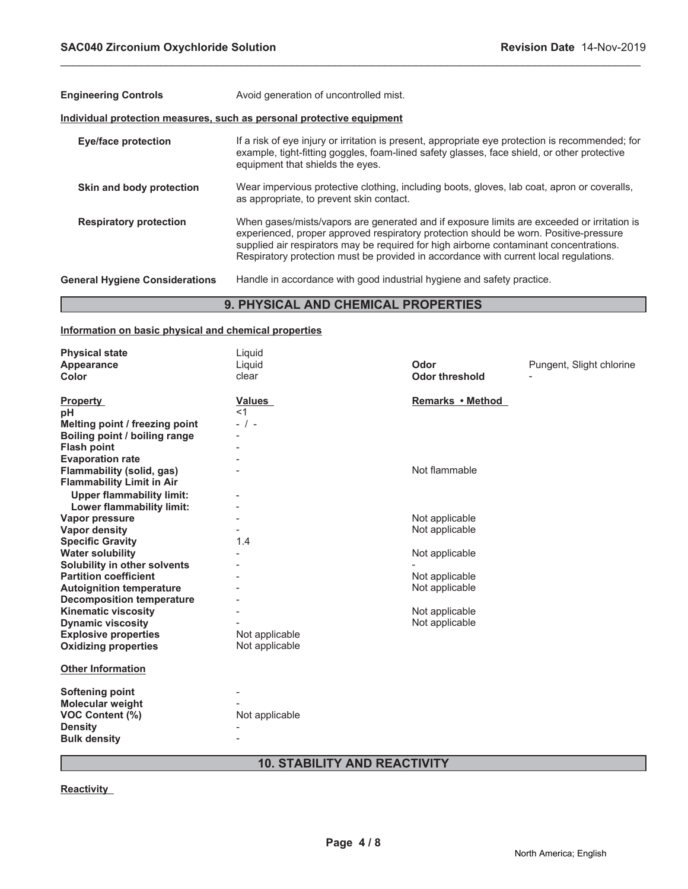| <b>Engineering Controls</b>           | Avoid generation of uncontrolled mist.                                                                                                                                                                                                                                                                                                                                 |  |  |
|---------------------------------------|------------------------------------------------------------------------------------------------------------------------------------------------------------------------------------------------------------------------------------------------------------------------------------------------------------------------------------------------------------------------|--|--|
|                                       | Individual protection measures, such as personal protective equipment                                                                                                                                                                                                                                                                                                  |  |  |
| <b>Eye/face protection</b>            | If a risk of eye injury or irritation is present, appropriate eye protection is recommended; for<br>example, tight-fitting goggles, foam-lined safety glasses, face shield, or other protective<br>equipment that shields the eyes.                                                                                                                                    |  |  |
| Skin and body protection              | Wear impervious protective clothing, including boots, gloves, lab coat, apron or coveralls,<br>as appropriate, to prevent skin contact.                                                                                                                                                                                                                                |  |  |
| <b>Respiratory protection</b>         | When gases/mists/vapors are generated and if exposure limits are exceeded or irritation is<br>experienced, proper approved respiratory protection should be worn. Positive-pressure<br>supplied air respirators may be required for high airborne contaminant concentrations.<br>Respiratory protection must be provided in accordance with current local regulations. |  |  |
| <b>General Hygiene Considerations</b> | Handle in accordance with good industrial hygiene and safety practice.                                                                                                                                                                                                                                                                                                 |  |  |
|                                       | <b>9. PHYSICAL AND CHEMICAL PROPERTIES</b>                                                                                                                                                                                                                                                                                                                             |  |  |

\_\_\_\_\_\_\_\_\_\_\_\_\_\_\_\_\_\_\_\_\_\_\_\_\_\_\_\_\_\_\_\_\_\_\_\_\_\_\_\_\_\_\_\_\_\_\_\_\_\_\_\_\_\_\_\_\_\_\_\_\_\_\_\_\_\_\_\_\_\_\_\_\_\_\_\_\_\_\_\_\_\_\_\_\_\_\_\_\_\_\_\_\_

# **9. PHYSICAL AND CHEMICAL PROPERTIES**

# **Information on basic physical and chemical properties**

| <b>Physical state</b>                                                | Liquid         |                       |                          |
|----------------------------------------------------------------------|----------------|-----------------------|--------------------------|
| Appearance                                                           | Liquid         | Odor                  | Pungent, Slight chlorine |
| Color                                                                | clear          | <b>Odor threshold</b> |                          |
| <b>Property</b>                                                      | <b>Values</b>  | Remarks • Method      |                          |
| рH                                                                   | $<$ 1          |                       |                          |
| Melting point / freezing point                                       | $-$ / $-$      |                       |                          |
| Boiling point / boiling range                                        |                |                       |                          |
| <b>Flash point</b>                                                   |                |                       |                          |
| <b>Evaporation rate</b>                                              |                |                       |                          |
| <b>Flammability (solid, gas)</b><br><b>Flammability Limit in Air</b> |                | Not flammable         |                          |
| <b>Upper flammability limit:</b>                                     |                |                       |                          |
| Lower flammability limit:                                            |                |                       |                          |
| Vapor pressure                                                       |                | Not applicable        |                          |
| Vapor density                                                        |                | Not applicable        |                          |
| <b>Specific Gravity</b>                                              | 1.4            |                       |                          |
| <b>Water solubility</b>                                              |                | Not applicable        |                          |
| Solubility in other solvents                                         |                |                       |                          |
| <b>Partition coefficient</b>                                         |                | Not applicable        |                          |
| <b>Autoignition temperature</b>                                      |                | Not applicable        |                          |
| <b>Decomposition temperature</b>                                     |                |                       |                          |
| <b>Kinematic viscosity</b>                                           |                | Not applicable        |                          |
| <b>Dynamic viscosity</b>                                             |                | Not applicable        |                          |
| <b>Explosive properties</b>                                          | Not applicable |                       |                          |
| <b>Oxidizing properties</b>                                          | Not applicable |                       |                          |
| <b>Other Information</b>                                             |                |                       |                          |
| <b>Softening point</b>                                               |                |                       |                          |
| <b>Molecular weight</b>                                              |                |                       |                          |
| <b>VOC Content (%)</b>                                               | Not applicable |                       |                          |
| <b>Density</b>                                                       |                |                       |                          |
| <b>Bulk density</b>                                                  |                |                       |                          |
|                                                                      |                |                       |                          |

# **10. STABILITY AND REACTIVITY**

**Reactivity**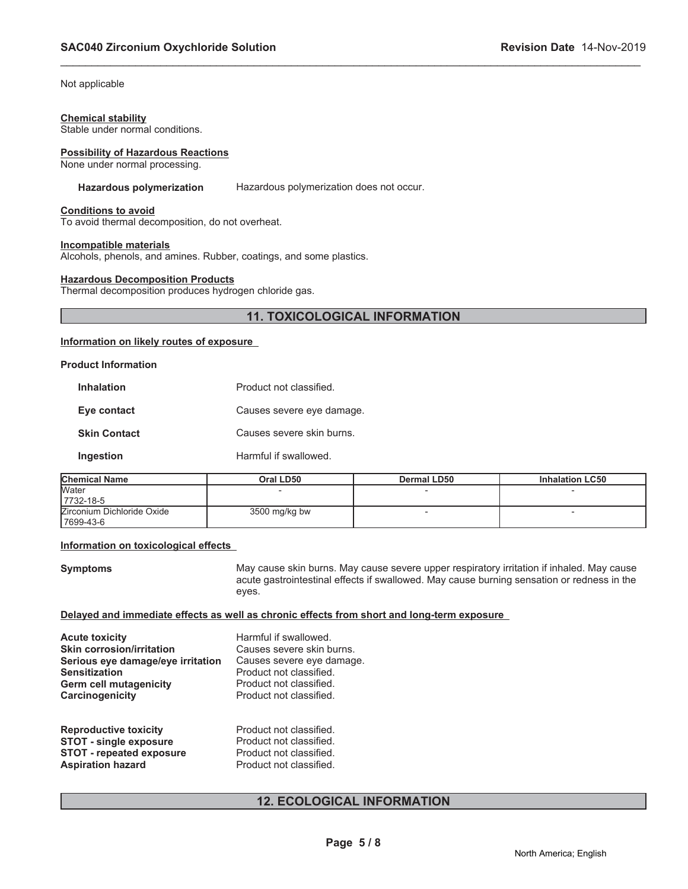Not applicable

#### **Chemical stability**

Stable under normal conditions.

#### **Possibility of Hazardous Reactions**

None under normal processing.

#### **Hazardous polymerization** Hazardous polymerization does not occur.

\_\_\_\_\_\_\_\_\_\_\_\_\_\_\_\_\_\_\_\_\_\_\_\_\_\_\_\_\_\_\_\_\_\_\_\_\_\_\_\_\_\_\_\_\_\_\_\_\_\_\_\_\_\_\_\_\_\_\_\_\_\_\_\_\_\_\_\_\_\_\_\_\_\_\_\_\_\_\_\_\_\_\_\_\_\_\_\_\_\_\_\_\_

#### **Conditions to avoid**

To avoid thermal decomposition, do not overheat.

#### **Incompatible materials**

Alcohols, phenols, and amines. Rubber, coatings, and some plastics.

#### **Hazardous Decomposition Products**

Thermal decomposition produces hydrogen chloride gas.

# **11. TOXICOLOGICAL INFORMATION**

### **Information on likely routes of exposure**

#### **Product Information**

| <b>Inhalation</b>   | Product not classified.   |  |
|---------------------|---------------------------|--|
| Eye contact         | Causes severe eye damage. |  |
| <b>Skin Contact</b> | Causes severe skin burns. |  |
| Ingestion           | Harmful if swallowed.     |  |

| <b>Chemical Name</b>       | Oral LD50     | Dermal LD50 | <b>Inhalation LC50</b> |
|----------------------------|---------------|-------------|------------------------|
| <b>Water</b>               |               |             |                        |
| 7732-18-5                  |               |             |                        |
| Zirconium Dichloride Oxide | 3500 mg/kg bw |             |                        |
| 17699-43-6                 |               |             |                        |

#### **Information on toxicological effects**

**Symptoms May cause skin burns. May cause severe upper respiratory irritation if inhaled. May cause** acute gastrointestinal effects if swallowed. May cause burning sensation or redness in the eyes.

#### **Delayed and immediate effects as well as chronic effects from short and long-term exposure**

| Acute toxicity<br><b>Skin corrosion/irritation</b> | Harmful if swallowed.<br>Causes severe skin burns. |
|----------------------------------------------------|----------------------------------------------------|
| Serious eye damage/eye irritation                  | Causes severe eye damage.                          |
| Sensitization<br>Germ cell mutagenicity            | Product not classified.<br>Product not classified. |
| Carcinogenicity                                    | Product not classified.                            |
| <b>Reproductive toxicity</b>                       | Product not classified.                            |

| <b>INGREDUCTION CONTRIGHT</b>   |                         |
|---------------------------------|-------------------------|
| <b>STOT - single exposure</b>   | Product not classified. |
| <b>STOT - repeated exposure</b> | Product not classified. |
| <b>Aspiration hazard</b>        | Product not classified. |

# **12. ECOLOGICAL INFORMATION**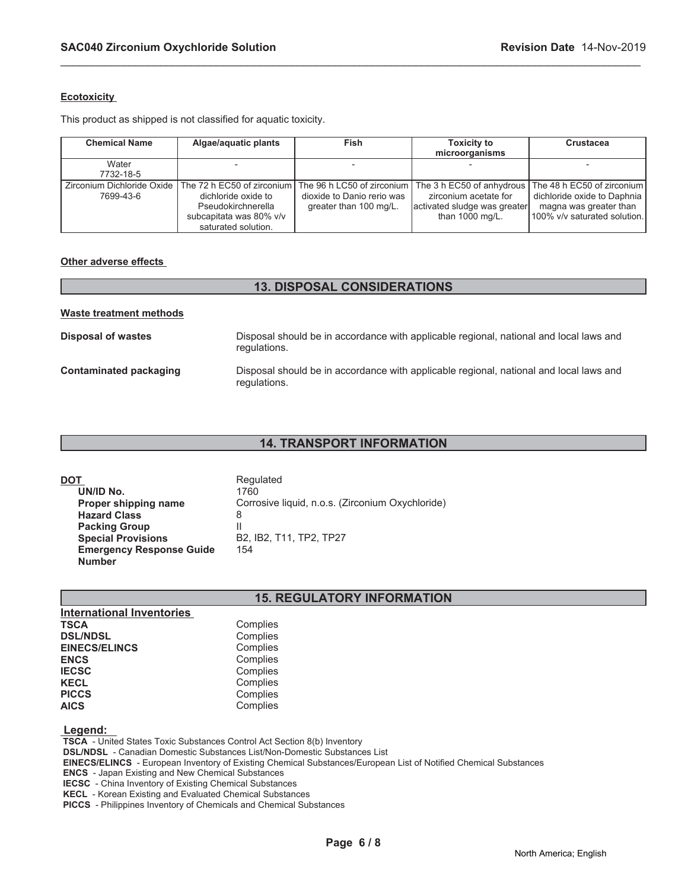#### **Ecotoxicity**

This product as shipped is not classified for aquatic toxicity.

| <b>Chemical Name</b> | Algae/aquatic plants                                                                                                                                                                                        | <b>Fish</b>                                          | <b>Toxicity to</b><br>microorganisms                                                | <b>Crustacea</b>                                                                                                    |
|----------------------|-------------------------------------------------------------------------------------------------------------------------------------------------------------------------------------------------------------|------------------------------------------------------|-------------------------------------------------------------------------------------|---------------------------------------------------------------------------------------------------------------------|
| Water<br>7732-18-5   |                                                                                                                                                                                                             |                                                      |                                                                                     |                                                                                                                     |
| 7699-43-6            | Zirconium Dichloride Oxide The 72 h EC50 of zirconium The 96 h LC50 of zirconium The 3 h EC50 of anhydrous  <br>dichloride oxide to<br>Pseudokirchnerella<br>subcapitata was 80% v/v<br>saturated solution. | dioxide to Danio rerio was<br>greater than 100 mg/L. | zirconium acetate for<br>activated sludge was greater<br>than $1000 \text{ mg/L}$ . | The 48 h EC50 of zirconium<br>dichloride oxide to Daphnia<br>magna was greater than<br>100% v/v saturated solution. |

\_\_\_\_\_\_\_\_\_\_\_\_\_\_\_\_\_\_\_\_\_\_\_\_\_\_\_\_\_\_\_\_\_\_\_\_\_\_\_\_\_\_\_\_\_\_\_\_\_\_\_\_\_\_\_\_\_\_\_\_\_\_\_\_\_\_\_\_\_\_\_\_\_\_\_\_\_\_\_\_\_\_\_\_\_\_\_\_\_\_\_\_\_

#### **Other adverse effects**

# **13. DISPOSAL CONSIDERATIONS Waste treatment methods Disposal of wastes Disposal should be in accordance with applicable regional, national and local laws and** regulations. **Contaminated packaging** Disposal should be in accordance with applicable regional, national and local laws and regulations.

#### **14. TRANSPORT INFORMATION**

| DOT                                              | Regulated                                        |
|--------------------------------------------------|--------------------------------------------------|
| UN/ID No.                                        | 1760                                             |
| Proper shipping name                             | Corrosive liquid, n.o.s. (Zirconium Oxychloride) |
| <b>Hazard Class</b>                              | 8                                                |
| <b>Packing Group</b>                             | Ш                                                |
| <b>Special Provisions</b>                        | B2, IB2, T11, TP2, TP27                          |
| <b>Emergency Response Guide</b><br><b>Number</b> | 154                                              |
|                                                  |                                                  |

# **15. REGULATORY INFORMATION**

| Complies |
|----------|
| Complies |
| Complies |
| Complies |
| Complies |
| Complies |
| Complies |
| Complies |
|          |

#### **Legend:**

 **TSCA** - United States Toxic Substances Control Act Section 8(b) Inventory

 **DSL/NDSL** - Canadian Domestic Substances List/Non-Domestic Substances List

 **EINECS/ELINCS** - European Inventory of Existing Chemical Substances/European List of Notified Chemical Substances

 **ENCS** - Japan Existing and New Chemical Substances

 **IECSC** - China Inventory of Existing Chemical Substances

 **KECL** - Korean Existing and Evaluated Chemical Substances

 **PICCS** - Philippines Inventory of Chemicals and Chemical Substances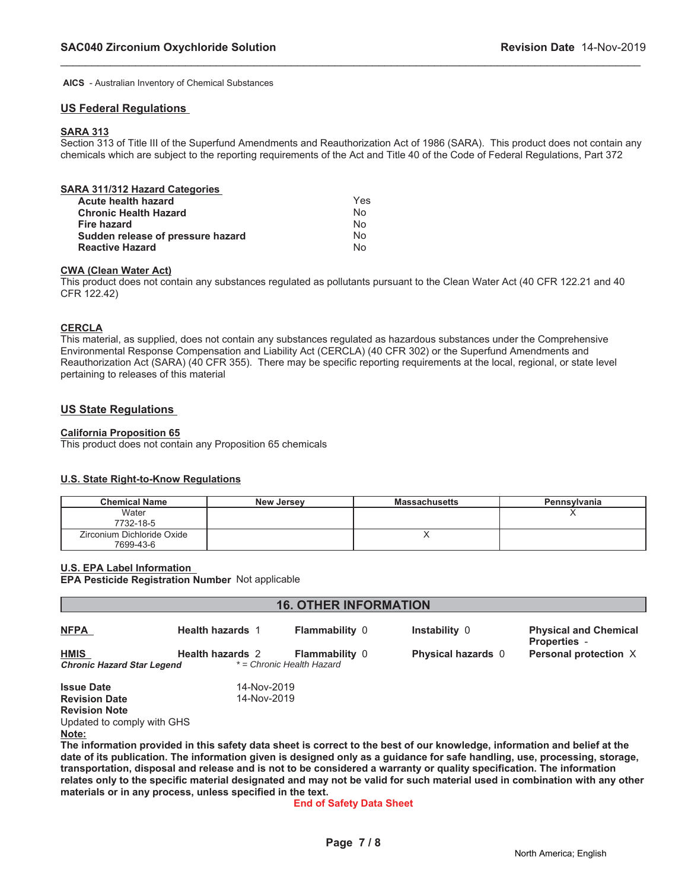**AICS** - Australian Inventory of Chemical Substances

#### **US Federal Regulations**

#### **SARA 313**

Section 313 of Title III of the Superfund Amendments and Reauthorization Act of 1986 (SARA). This product does not contain any chemicals which are subject to the reporting requirements of the Act and Title 40 of the Code of Federal Regulations, Part 372

\_\_\_\_\_\_\_\_\_\_\_\_\_\_\_\_\_\_\_\_\_\_\_\_\_\_\_\_\_\_\_\_\_\_\_\_\_\_\_\_\_\_\_\_\_\_\_\_\_\_\_\_\_\_\_\_\_\_\_\_\_\_\_\_\_\_\_\_\_\_\_\_\_\_\_\_\_\_\_\_\_\_\_\_\_\_\_\_\_\_\_\_\_

| SARA 311/312 Hazard Categories    |     |
|-----------------------------------|-----|
| Acute health hazard               | Yes |
| <b>Chronic Health Hazard</b>      | No  |
| Fire hazard                       | No  |
| Sudden release of pressure hazard | No  |
| <b>Reactive Hazard</b>            | N٥  |

#### **CWA (Clean Water Act)**

This product does not contain any substances regulated as pollutants pursuant to the Clean Water Act (40 CFR 122.21 and 40 CFR 122.42)

#### **CERCLA**

This material, as supplied, does not contain any substances regulated as hazardous substances under the Comprehensive Environmental Response Compensation and Liability Act (CERCLA) (40 CFR 302) or the Superfund Amendments and Reauthorization Act (SARA) (40 CFR 355). There may be specific reporting requirements at the local, regional, or state level pertaining to releases of this material

#### **US State Regulations**

### **California Proposition 65**

This product does not contain any Proposition 65 chemicals

#### **U.S. State Right-to-Know Regulations**

| <b>Chemical Name</b>       | <b>New Jersey</b> | <b>Massachusetts</b> | Pennsylvania |
|----------------------------|-------------------|----------------------|--------------|
| Water                      |                   |                      |              |
| 7732-18-5                  |                   |                      |              |
| Zirconium Dichloride Oxide |                   |                      |              |
| 7699-43-6                  |                   |                      |              |

#### **U.S. EPA Label Information**

**EPA Pesticide Registration Number** Not applicable

| <b>16. OTHER INFORMATION</b>      |                         |                           |                                                                                                                            |                                                     |
|-----------------------------------|-------------------------|---------------------------|----------------------------------------------------------------------------------------------------------------------------|-----------------------------------------------------|
| <b>NFPA</b>                       | <b>Health hazards 1</b> | <b>Flammability 0</b>     | Instability 0                                                                                                              | <b>Physical and Chemical</b><br><b>Properties -</b> |
| <b>HMIS</b>                       | <b>Health hazards 2</b> | <b>Flammability 0</b>     | <b>Physical hazards</b> 0                                                                                                  | Personal protection X                               |
| <b>Chronic Hazard Star Legend</b> |                         | * = Chronic Health Hazard |                                                                                                                            |                                                     |
| <b>Issue Date</b>                 | 14-Nov-2019             |                           |                                                                                                                            |                                                     |
| <b>Revision Date</b>              | 14-Nov-2019             |                           |                                                                                                                            |                                                     |
| <b>Revision Note</b>              |                         |                           |                                                                                                                            |                                                     |
| Updated to comply with GHS        |                         |                           |                                                                                                                            |                                                     |
| Note:                             |                         |                           |                                                                                                                            |                                                     |
|                                   |                         |                           | The information provided in this safety data sheet is correct to the best of our knowledge, information and belief at the  |                                                     |
|                                   |                         |                           | date of its publication. The information given is designed only as a guidance for safe handling, use, processing, storage, |                                                     |

**transportation, disposal and release and is not to be considered a warranty or quality specification. The information relates only to the specific material designated and may not be valid for such material used in combination with any other materials or in any process, unless specified in the text.**

#### **End of Safety Data Sheet**